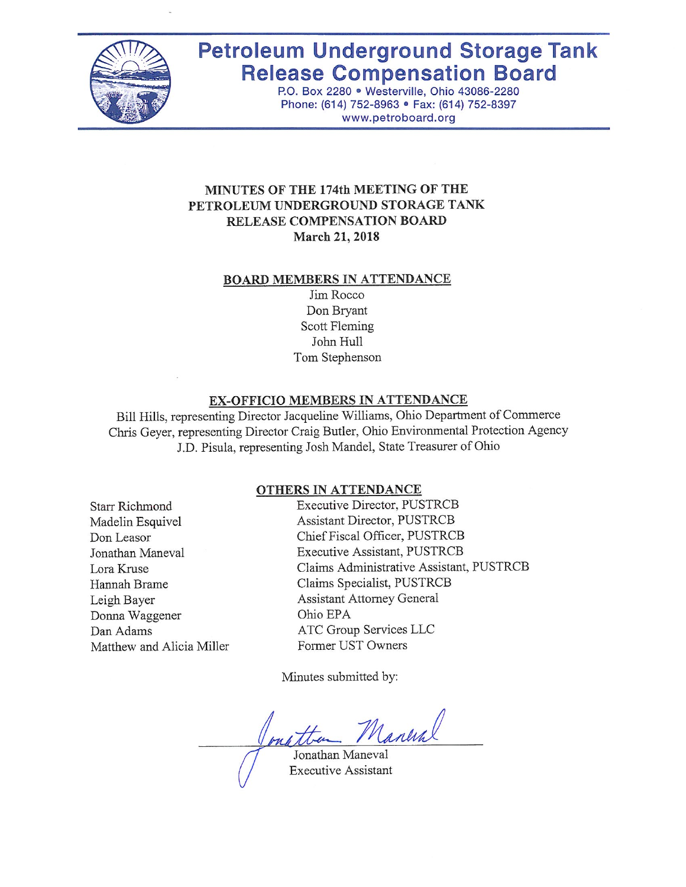

# **Petroleum Underground Storage Tank Release Compensation Board**

P.O. Box 2280 · Westerville, Ohio 43086-2280 Phone: (614) 752-8963 · Fax: (614) 752-8397 www.petroboard.org

# MINUTES OF THE 174th MEETING OF THE PETROLEUM UNDERGROUND STORAGE TANK RELEASE COMPENSATION BOARD March 21, 2018

#### **BOARD MEMBERS IN ATTENDANCE**

Jim Rocco Don Bryant Scott Fleming John Hull Tom Stephenson

#### EX-OFFICIO MEMBERS IN ATTENDANCE

Bill Hills, representing Director Jacqueline Williams, Ohio Department of Commerce Chris Geyer, representing Director Craig Butler, Ohio Environmental Protection Agency J.D. Pisula, representing Josh Mandel, State Treasurer of Ohio

## **OTHERS IN ATTENDANCE**

**Starr Richmond** Madelin Esquivel Don Leasor Jonathan Maneval Lora Kruse Hannah Brame Leigh Bayer Donna Waggener Dan Adams Matthew and Alicia Miller Executive Director, PUSTRCB Assistant Director, PUSTRCB Chief Fiscal Officer, PUSTRCB **Executive Assistant, PUSTRCB** Claims Administrative Assistant, PUSTRCB Claims Specialist, PUSTRCB **Assistant Attorney General** Ohio EPA ATC Group Services LLC Former UST Owners

Minutes submitted by:

Maneral

Jonathan Maneval **Executive Assistant**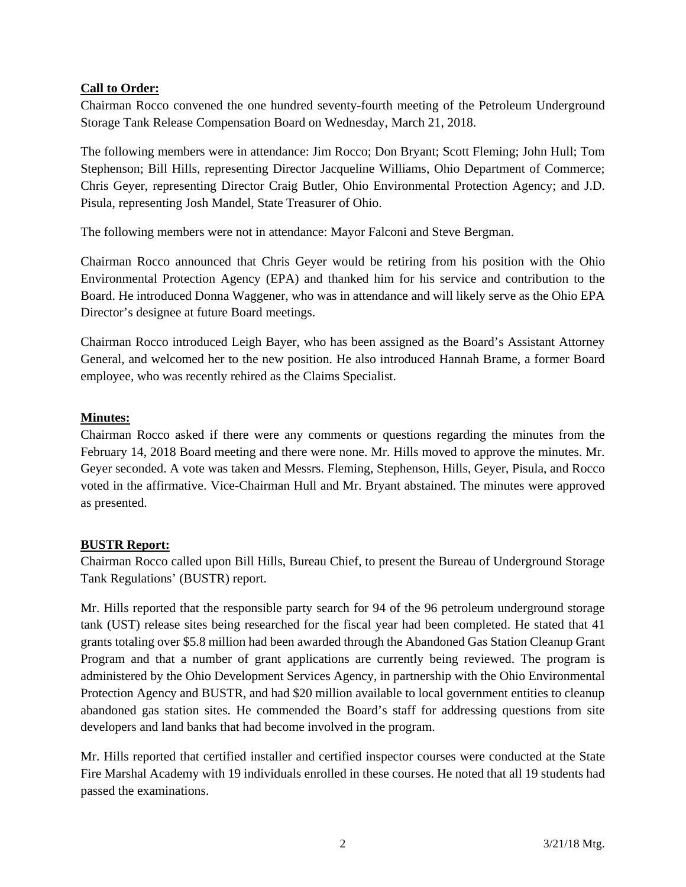# **Call to Order:**

Chairman Rocco convened the one hundred seventy-fourth meeting of the Petroleum Underground Storage Tank Release Compensation Board on Wednesday, March 21, 2018.

The following members were in attendance: Jim Rocco; Don Bryant; Scott Fleming; John Hull; Tom Stephenson; Bill Hills, representing Director Jacqueline Williams, Ohio Department of Commerce; Chris Geyer, representing Director Craig Butler, Ohio Environmental Protection Agency; and J.D. Pisula, representing Josh Mandel, State Treasurer of Ohio.

The following members were not in attendance: Mayor Falconi and Steve Bergman.

Chairman Rocco announced that Chris Geyer would be retiring from his position with the Ohio Environmental Protection Agency (EPA) and thanked him for his service and contribution to the Board. He introduced Donna Waggener, who was in attendance and will likely serve as the Ohio EPA Director's designee at future Board meetings.

Chairman Rocco introduced Leigh Bayer, who has been assigned as the Board's Assistant Attorney General, and welcomed her to the new position. He also introduced Hannah Brame, a former Board employee, who was recently rehired as the Claims Specialist.

# **Minutes:**

Chairman Rocco asked if there were any comments or questions regarding the minutes from the February 14, 2018 Board meeting and there were none. Mr. Hills moved to approve the minutes. Mr. Geyer seconded. A vote was taken and Messrs. Fleming, Stephenson, Hills, Geyer, Pisula, and Rocco voted in the affirmative. Vice-Chairman Hull and Mr. Bryant abstained. The minutes were approved as presented.

# **BUSTR Report:**

Chairman Rocco called upon Bill Hills, Bureau Chief, to present the Bureau of Underground Storage Tank Regulations' (BUSTR) report.

Mr. Hills reported that the responsible party search for 94 of the 96 petroleum underground storage tank (UST) release sites being researched for the fiscal year had been completed. He stated that 41 grants totaling over \$5.8 million had been awarded through the Abandoned Gas Station Cleanup Grant Program and that a number of grant applications are currently being reviewed. The program is administered by the Ohio Development Services Agency, in partnership with the Ohio Environmental Protection Agency and BUSTR, and had \$20 million available to local government entities to cleanup abandoned gas station sites. He commended the Board's staff for addressing questions from site developers and land banks that had become involved in the program.

Mr. Hills reported that certified installer and certified inspector courses were conducted at the State Fire Marshal Academy with 19 individuals enrolled in these courses. He noted that all 19 students had passed the examinations.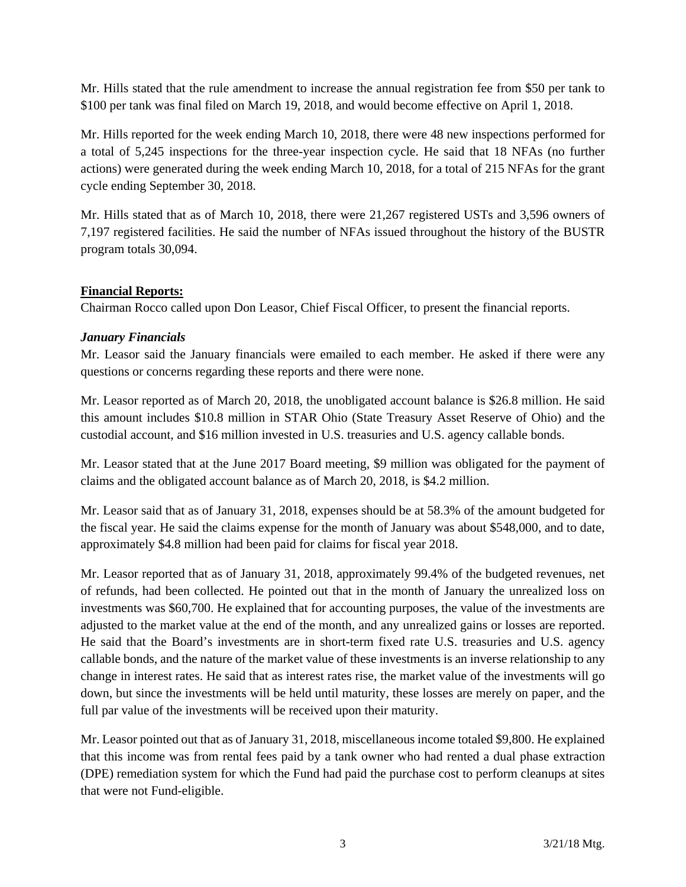Mr. Hills stated that the rule amendment to increase the annual registration fee from \$50 per tank to \$100 per tank was final filed on March 19, 2018, and would become effective on April 1, 2018.

Mr. Hills reported for the week ending March 10, 2018, there were 48 new inspections performed for a total of 5,245 inspections for the three-year inspection cycle. He said that 18 NFAs (no further actions) were generated during the week ending March 10, 2018, for a total of 215 NFAs for the grant cycle ending September 30, 2018.

Mr. Hills stated that as of March 10, 2018, there were 21,267 registered USTs and 3,596 owners of 7,197 registered facilities. He said the number of NFAs issued throughout the history of the BUSTR program totals 30,094.

## **Financial Reports:**

Chairman Rocco called upon Don Leasor, Chief Fiscal Officer, to present the financial reports.

# *January Financials*

Mr. Leasor said the January financials were emailed to each member. He asked if there were any questions or concerns regarding these reports and there were none.

Mr. Leasor reported as of March 20, 2018, the unobligated account balance is \$26.8 million. He said this amount includes \$10.8 million in STAR Ohio (State Treasury Asset Reserve of Ohio) and the custodial account, and \$16 million invested in U.S. treasuries and U.S. agency callable bonds.

Mr. Leasor stated that at the June 2017 Board meeting, \$9 million was obligated for the payment of claims and the obligated account balance as of March 20, 2018, is \$4.2 million.

Mr. Leasor said that as of January 31, 2018, expenses should be at 58.3% of the amount budgeted for the fiscal year. He said the claims expense for the month of January was about \$548,000, and to date, approximately \$4.8 million had been paid for claims for fiscal year 2018.

Mr. Leasor reported that as of January 31, 2018, approximately 99.4% of the budgeted revenues, net of refunds, had been collected. He pointed out that in the month of January the unrealized loss on investments was \$60,700. He explained that for accounting purposes, the value of the investments are adjusted to the market value at the end of the month, and any unrealized gains or losses are reported. He said that the Board's investments are in short-term fixed rate U.S. treasuries and U.S. agency callable bonds, and the nature of the market value of these investments is an inverse relationship to any change in interest rates. He said that as interest rates rise, the market value of the investments will go down, but since the investments will be held until maturity, these losses are merely on paper, and the full par value of the investments will be received upon their maturity.

Mr. Leasor pointed out that as of January 31, 2018, miscellaneous income totaled \$9,800. He explained that this income was from rental fees paid by a tank owner who had rented a dual phase extraction (DPE) remediation system for which the Fund had paid the purchase cost to perform cleanups at sites that were not Fund-eligible.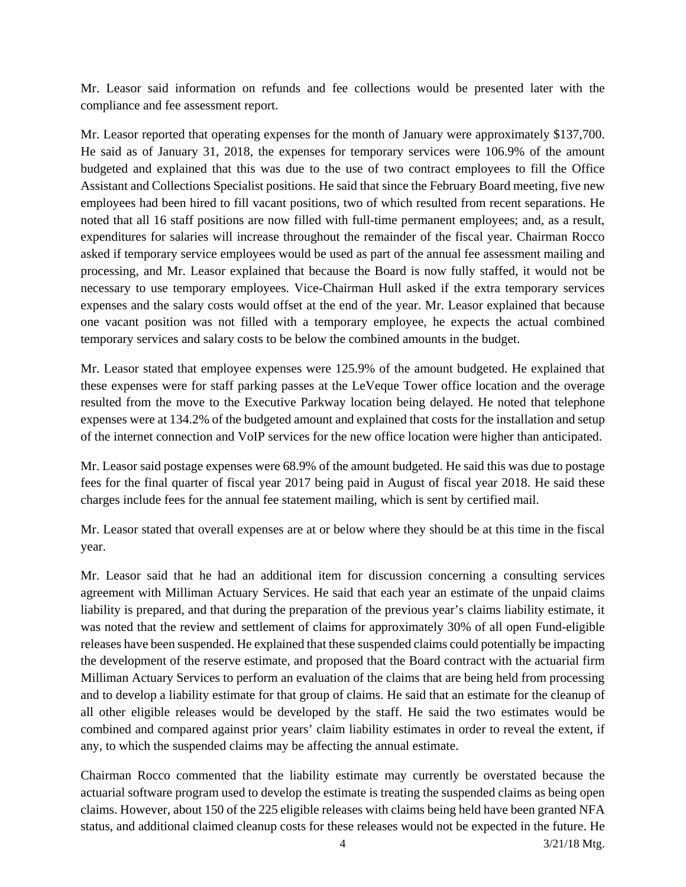Mr. Leasor said information on refunds and fee collections would be presented later with the compliance and fee assessment report.

Mr. Leasor reported that operating expenses for the month of January were approximately \$137,700. He said as of January 31, 2018, the expenses for temporary services were 106.9% of the amount budgeted and explained that this was due to the use of two contract employees to fill the Office Assistant and Collections Specialist positions. He said that since the February Board meeting, five new employees had been hired to fill vacant positions, two of which resulted from recent separations. He noted that all 16 staff positions are now filled with full-time permanent employees; and, as a result, expenditures for salaries will increase throughout the remainder of the fiscal year. Chairman Rocco asked if temporary service employees would be used as part of the annual fee assessment mailing and processing, and Mr. Leasor explained that because the Board is now fully staffed, it would not be necessary to use temporary employees. Vice-Chairman Hull asked if the extra temporary services expenses and the salary costs would offset at the end of the year. Mr. Leasor explained that because one vacant position was not filled with a temporary employee, he expects the actual combined temporary services and salary costs to be below the combined amounts in the budget.

Mr. Leasor stated that employee expenses were 125.9% of the amount budgeted. He explained that these expenses were for staff parking passes at the LeVeque Tower office location and the overage resulted from the move to the Executive Parkway location being delayed. He noted that telephone expenses were at 134.2% of the budgeted amount and explained that costs for the installation and setup of the internet connection and VoIP services for the new office location were higher than anticipated.

Mr. Leasor said postage expenses were 68.9% of the amount budgeted. He said this was due to postage fees for the final quarter of fiscal year 2017 being paid in August of fiscal year 2018. He said these charges include fees for the annual fee statement mailing, which is sent by certified mail.

Mr. Leasor stated that overall expenses are at or below where they should be at this time in the fiscal year.

Mr. Leasor said that he had an additional item for discussion concerning a consulting services agreement with Milliman Actuary Services. He said that each year an estimate of the unpaid claims liability is prepared, and that during the preparation of the previous year's claims liability estimate, it was noted that the review and settlement of claims for approximately 30% of all open Fund-eligible releases have been suspended. He explained that these suspended claims could potentially be impacting the development of the reserve estimate, and proposed that the Board contract with the actuarial firm Milliman Actuary Services to perform an evaluation of the claims that are being held from processing and to develop a liability estimate for that group of claims. He said that an estimate for the cleanup of all other eligible releases would be developed by the staff. He said the two estimates would be combined and compared against prior years' claim liability estimates in order to reveal the extent, if any, to which the suspended claims may be affecting the annual estimate.

Chairman Rocco commented that the liability estimate may currently be overstated because the actuarial software program used to develop the estimate is treating the suspended claims as being open claims. However, about 150 of the 225 eligible releases with claims being held have been granted NFA status, and additional claimed cleanup costs for these releases would not be expected in the future. He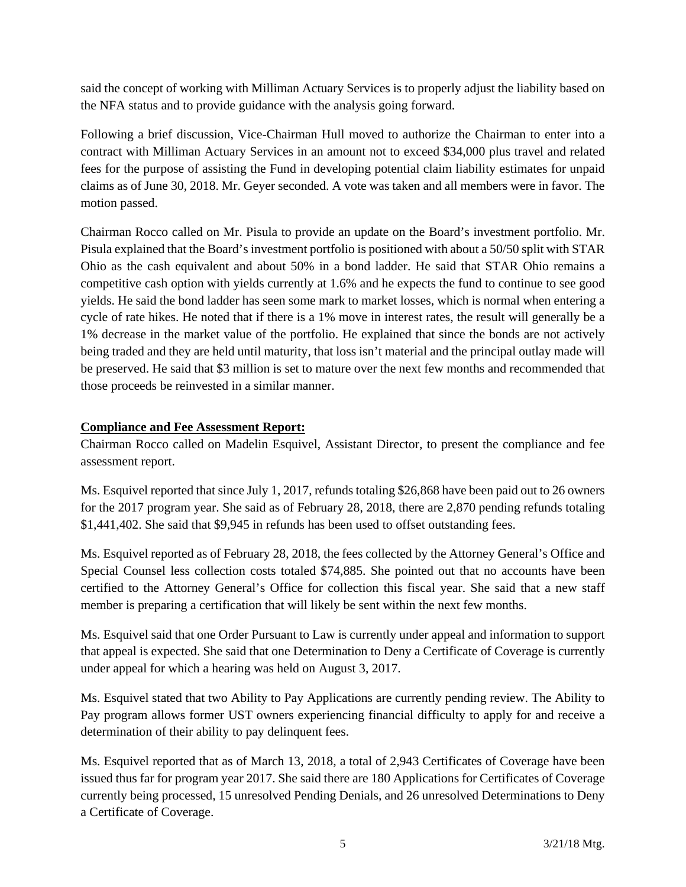said the concept of working with Milliman Actuary Services is to properly adjust the liability based on the NFA status and to provide guidance with the analysis going forward.

Following a brief discussion, Vice-Chairman Hull moved to authorize the Chairman to enter into a contract with Milliman Actuary Services in an amount not to exceed \$34,000 plus travel and related fees for the purpose of assisting the Fund in developing potential claim liability estimates for unpaid claims as of June 30, 2018. Mr. Geyer seconded. A vote was taken and all members were in favor. The motion passed.

Chairman Rocco called on Mr. Pisula to provide an update on the Board's investment portfolio. Mr. Pisula explained that the Board's investment portfolio is positioned with about a 50/50 split with STAR Ohio as the cash equivalent and about 50% in a bond ladder. He said that STAR Ohio remains a competitive cash option with yields currently at 1.6% and he expects the fund to continue to see good yields. He said the bond ladder has seen some mark to market losses, which is normal when entering a cycle of rate hikes. He noted that if there is a 1% move in interest rates, the result will generally be a 1% decrease in the market value of the portfolio. He explained that since the bonds are not actively being traded and they are held until maturity, that loss isn't material and the principal outlay made will be preserved. He said that \$3 million is set to mature over the next few months and recommended that those proceeds be reinvested in a similar manner.

# **Compliance and Fee Assessment Report:**

Chairman Rocco called on Madelin Esquivel, Assistant Director, to present the compliance and fee assessment report.

Ms. Esquivel reported that since July 1, 2017, refunds totaling \$26,868 have been paid out to 26 owners for the 2017 program year. She said as of February 28, 2018, there are 2,870 pending refunds totaling \$1,441,402. She said that \$9,945 in refunds has been used to offset outstanding fees.

Ms. Esquivel reported as of February 28, 2018, the fees collected by the Attorney General's Office and Special Counsel less collection costs totaled \$74,885. She pointed out that no accounts have been certified to the Attorney General's Office for collection this fiscal year. She said that a new staff member is preparing a certification that will likely be sent within the next few months.

Ms. Esquivel said that one Order Pursuant to Law is currently under appeal and information to support that appeal is expected. She said that one Determination to Deny a Certificate of Coverage is currently under appeal for which a hearing was held on August 3, 2017.

Ms. Esquivel stated that two Ability to Pay Applications are currently pending review. The Ability to Pay program allows former UST owners experiencing financial difficulty to apply for and receive a determination of their ability to pay delinquent fees.

Ms. Esquivel reported that as of March 13, 2018, a total of 2,943 Certificates of Coverage have been issued thus far for program year 2017. She said there are 180 Applications for Certificates of Coverage currently being processed, 15 unresolved Pending Denials, and 26 unresolved Determinations to Deny a Certificate of Coverage.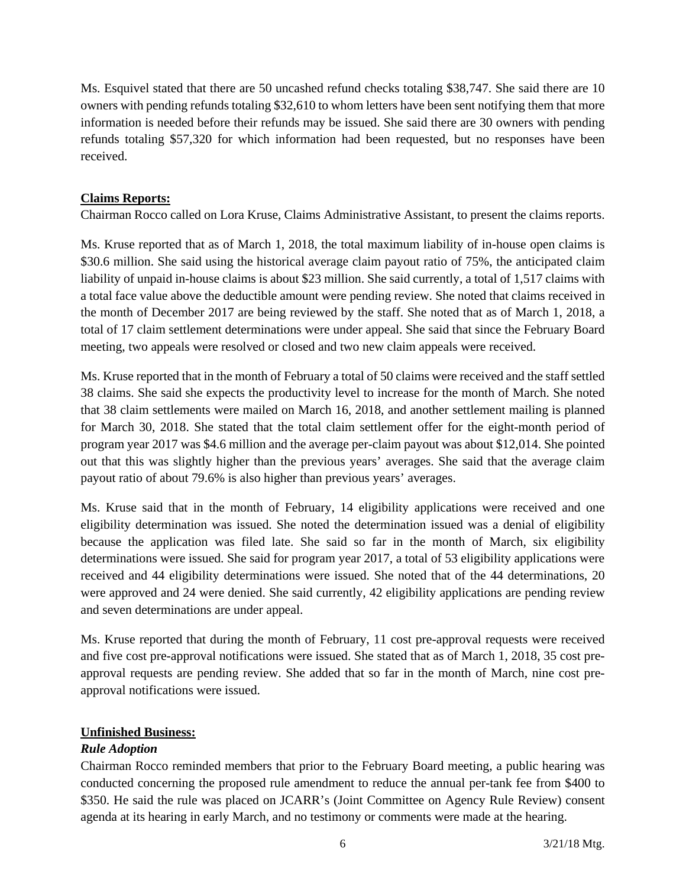Ms. Esquivel stated that there are 50 uncashed refund checks totaling \$38,747. She said there are 10 owners with pending refunds totaling \$32,610 to whom letters have been sent notifying them that more information is needed before their refunds may be issued. She said there are 30 owners with pending refunds totaling \$57,320 for which information had been requested, but no responses have been received.

## **Claims Reports:**

Chairman Rocco called on Lora Kruse, Claims Administrative Assistant, to present the claims reports.

Ms. Kruse reported that as of March 1, 2018, the total maximum liability of in-house open claims is \$30.6 million. She said using the historical average claim payout ratio of 75%, the anticipated claim liability of unpaid in-house claims is about \$23 million. She said currently, a total of 1,517 claims with a total face value above the deductible amount were pending review. She noted that claims received in the month of December 2017 are being reviewed by the staff. She noted that as of March 1, 2018, a total of 17 claim settlement determinations were under appeal. She said that since the February Board meeting, two appeals were resolved or closed and two new claim appeals were received.

Ms. Kruse reported that in the month of February a total of 50 claims were received and the staff settled 38 claims. She said she expects the productivity level to increase for the month of March. She noted that 38 claim settlements were mailed on March 16, 2018, and another settlement mailing is planned for March 30, 2018. She stated that the total claim settlement offer for the eight-month period of program year 2017 was \$4.6 million and the average per-claim payout was about \$12,014. She pointed out that this was slightly higher than the previous years' averages. She said that the average claim payout ratio of about 79.6% is also higher than previous years' averages.

Ms. Kruse said that in the month of February, 14 eligibility applications were received and one eligibility determination was issued. She noted the determination issued was a denial of eligibility because the application was filed late. She said so far in the month of March, six eligibility determinations were issued. She said for program year 2017, a total of 53 eligibility applications were received and 44 eligibility determinations were issued. She noted that of the 44 determinations, 20 were approved and 24 were denied. She said currently, 42 eligibility applications are pending review and seven determinations are under appeal.

Ms. Kruse reported that during the month of February, 11 cost pre-approval requests were received and five cost pre-approval notifications were issued. She stated that as of March 1, 2018, 35 cost preapproval requests are pending review. She added that so far in the month of March, nine cost preapproval notifications were issued.

## **Unfinished Business:**

## *Rule Adoption*

Chairman Rocco reminded members that prior to the February Board meeting, a public hearing was conducted concerning the proposed rule amendment to reduce the annual per-tank fee from \$400 to \$350. He said the rule was placed on JCARR's (Joint Committee on Agency Rule Review) consent agenda at its hearing in early March, and no testimony or comments were made at the hearing.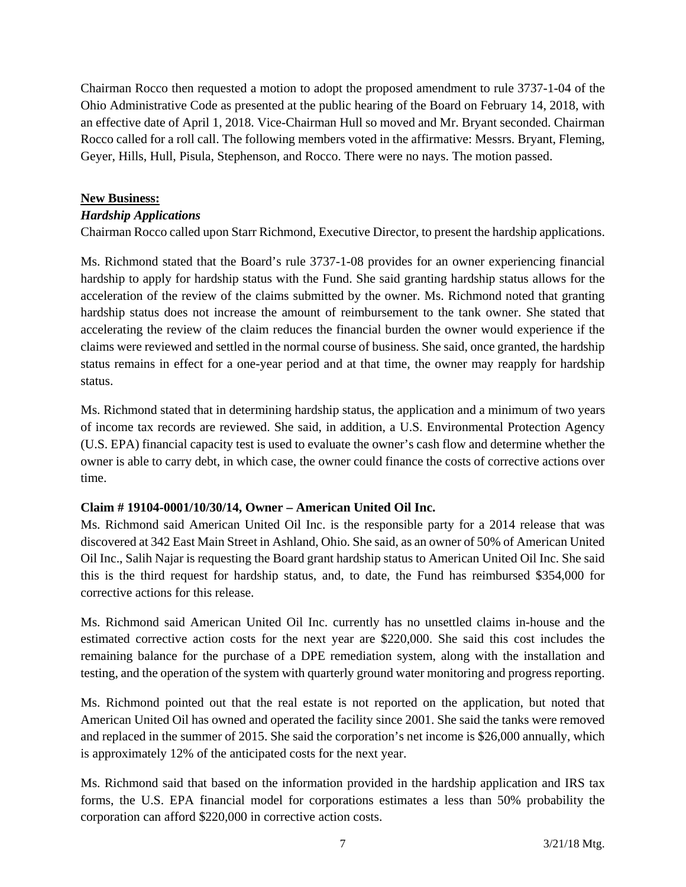Chairman Rocco then requested a motion to adopt the proposed amendment to rule 3737-1-04 of the Ohio Administrative Code as presented at the public hearing of the Board on February 14, 2018, with an effective date of April 1, 2018. Vice-Chairman Hull so moved and Mr. Bryant seconded. Chairman Rocco called for a roll call. The following members voted in the affirmative: Messrs. Bryant, Fleming, Geyer, Hills, Hull, Pisula, Stephenson, and Rocco. There were no nays. The motion passed.

## **New Business:**

### *Hardship Applications*

Chairman Rocco called upon Starr Richmond, Executive Director, to present the hardship applications.

Ms. Richmond stated that the Board's rule 3737-1-08 provides for an owner experiencing financial hardship to apply for hardship status with the Fund. She said granting hardship status allows for the acceleration of the review of the claims submitted by the owner. Ms. Richmond noted that granting hardship status does not increase the amount of reimbursement to the tank owner. She stated that accelerating the review of the claim reduces the financial burden the owner would experience if the claims were reviewed and settled in the normal course of business. She said, once granted, the hardship status remains in effect for a one-year period and at that time, the owner may reapply for hardship status.

Ms. Richmond stated that in determining hardship status, the application and a minimum of two years of income tax records are reviewed. She said, in addition, a U.S. Environmental Protection Agency (U.S. EPA) financial capacity test is used to evaluate the owner's cash flow and determine whether the owner is able to carry debt, in which case, the owner could finance the costs of corrective actions over time.

## **Claim # 19104-0001/10/30/14, Owner – American United Oil Inc.**

Ms. Richmond said American United Oil Inc. is the responsible party for a 2014 release that was discovered at 342 East Main Street in Ashland, Ohio. She said, as an owner of 50% of American United Oil Inc., Salih Najar is requesting the Board grant hardship status to American United Oil Inc. She said this is the third request for hardship status, and, to date, the Fund has reimbursed \$354,000 for corrective actions for this release.

Ms. Richmond said American United Oil Inc. currently has no unsettled claims in-house and the estimated corrective action costs for the next year are \$220,000. She said this cost includes the remaining balance for the purchase of a DPE remediation system, along with the installation and testing, and the operation of the system with quarterly ground water monitoring and progress reporting.

Ms. Richmond pointed out that the real estate is not reported on the application, but noted that American United Oil has owned and operated the facility since 2001. She said the tanks were removed and replaced in the summer of 2015. She said the corporation's net income is \$26,000 annually, which is approximately 12% of the anticipated costs for the next year.

Ms. Richmond said that based on the information provided in the hardship application and IRS tax forms, the U.S. EPA financial model for corporations estimates a less than 50% probability the corporation can afford \$220,000 in corrective action costs.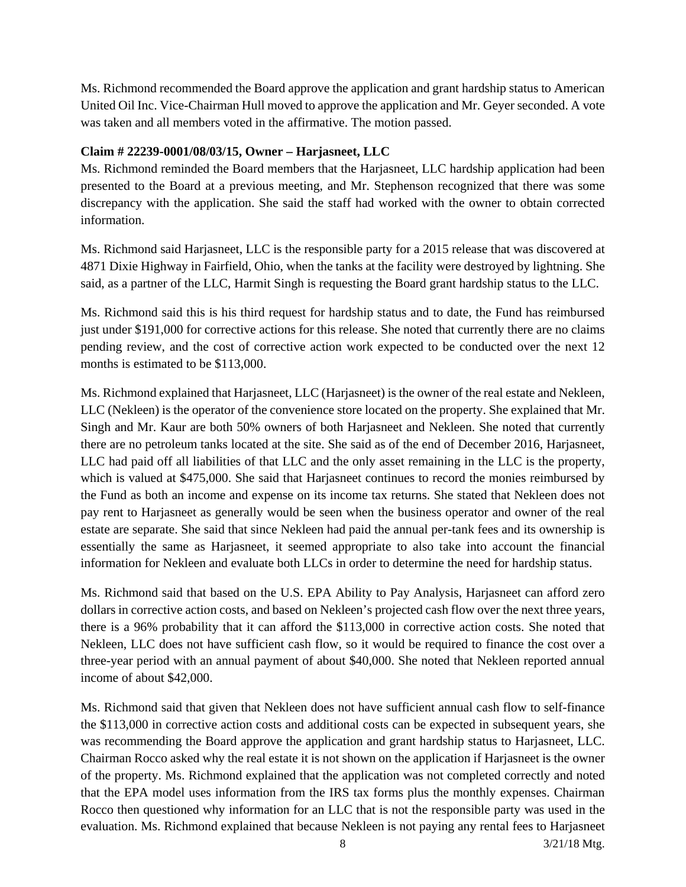Ms. Richmond recommended the Board approve the application and grant hardship status to American United Oil Inc. Vice-Chairman Hull moved to approve the application and Mr. Geyer seconded. A vote was taken and all members voted in the affirmative. The motion passed.

# **Claim # 22239-0001/08/03/15, Owner – Harjasneet, LLC**

Ms. Richmond reminded the Board members that the Harjasneet, LLC hardship application had been presented to the Board at a previous meeting, and Mr. Stephenson recognized that there was some discrepancy with the application. She said the staff had worked with the owner to obtain corrected information.

Ms. Richmond said Harjasneet, LLC is the responsible party for a 2015 release that was discovered at 4871 Dixie Highway in Fairfield, Ohio, when the tanks at the facility were destroyed by lightning. She said, as a partner of the LLC, Harmit Singh is requesting the Board grant hardship status to the LLC.

Ms. Richmond said this is his third request for hardship status and to date, the Fund has reimbursed just under \$191,000 for corrective actions for this release. She noted that currently there are no claims pending review, and the cost of corrective action work expected to be conducted over the next 12 months is estimated to be \$113,000.

Ms. Richmond explained that Harjasneet, LLC (Harjasneet) is the owner of the real estate and Nekleen, LLC (Nekleen) is the operator of the convenience store located on the property. She explained that Mr. Singh and Mr. Kaur are both 50% owners of both Harjasneet and Nekleen. She noted that currently there are no petroleum tanks located at the site. She said as of the end of December 2016, Harjasneet, LLC had paid off all liabilities of that LLC and the only asset remaining in the LLC is the property, which is valued at \$475,000. She said that Harjasneet continues to record the monies reimbursed by the Fund as both an income and expense on its income tax returns. She stated that Nekleen does not pay rent to Harjasneet as generally would be seen when the business operator and owner of the real estate are separate. She said that since Nekleen had paid the annual per-tank fees and its ownership is essentially the same as Harjasneet, it seemed appropriate to also take into account the financial information for Nekleen and evaluate both LLCs in order to determine the need for hardship status.

Ms. Richmond said that based on the U.S. EPA Ability to Pay Analysis, Harjasneet can afford zero dollars in corrective action costs, and based on Nekleen's projected cash flow over the next three years, there is a 96% probability that it can afford the \$113,000 in corrective action costs. She noted that Nekleen, LLC does not have sufficient cash flow, so it would be required to finance the cost over a three-year period with an annual payment of about \$40,000. She noted that Nekleen reported annual income of about \$42,000.

Ms. Richmond said that given that Nekleen does not have sufficient annual cash flow to self-finance the \$113,000 in corrective action costs and additional costs can be expected in subsequent years, she was recommending the Board approve the application and grant hardship status to Harjasneet, LLC. Chairman Rocco asked why the real estate it is not shown on the application if Harjasneet is the owner of the property. Ms. Richmond explained that the application was not completed correctly and noted that the EPA model uses information from the IRS tax forms plus the monthly expenses. Chairman Rocco then questioned why information for an LLC that is not the responsible party was used in the evaluation. Ms. Richmond explained that because Nekleen is not paying any rental fees to Harjasneet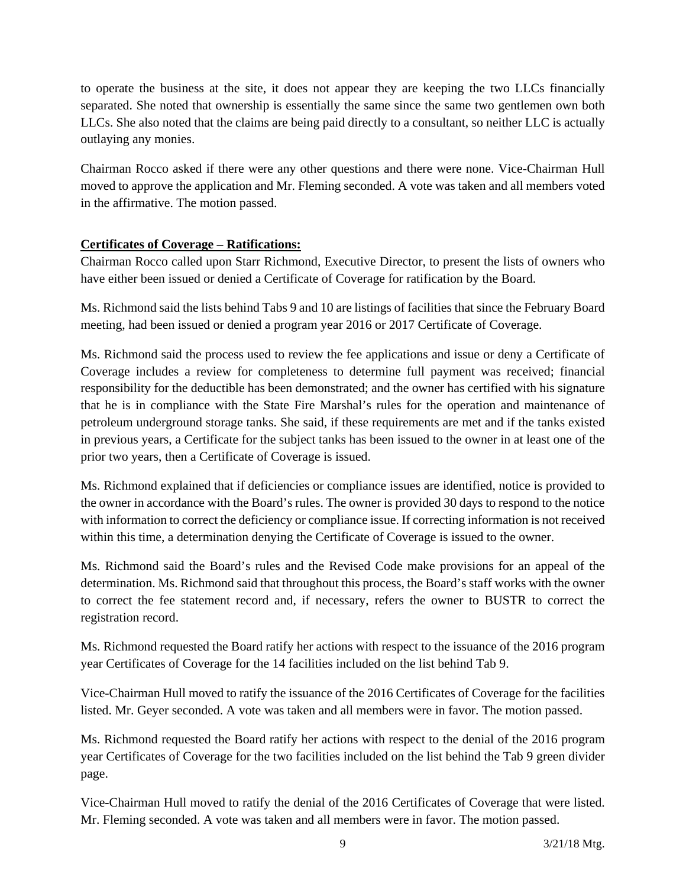to operate the business at the site, it does not appear they are keeping the two LLCs financially separated. She noted that ownership is essentially the same since the same two gentlemen own both LLCs. She also noted that the claims are being paid directly to a consultant, so neither LLC is actually outlaying any monies.

Chairman Rocco asked if there were any other questions and there were none. Vice-Chairman Hull moved to approve the application and Mr. Fleming seconded. A vote was taken and all members voted in the affirmative. The motion passed.

# **Certificates of Coverage – Ratifications:**

Chairman Rocco called upon Starr Richmond, Executive Director, to present the lists of owners who have either been issued or denied a Certificate of Coverage for ratification by the Board.

Ms. Richmond said the lists behind Tabs 9 and 10 are listings of facilities that since the February Board meeting, had been issued or denied a program year 2016 or 2017 Certificate of Coverage.

Ms. Richmond said the process used to review the fee applications and issue or deny a Certificate of Coverage includes a review for completeness to determine full payment was received; financial responsibility for the deductible has been demonstrated; and the owner has certified with his signature that he is in compliance with the State Fire Marshal's rules for the operation and maintenance of petroleum underground storage tanks. She said, if these requirements are met and if the tanks existed in previous years, a Certificate for the subject tanks has been issued to the owner in at least one of the prior two years, then a Certificate of Coverage is issued.

Ms. Richmond explained that if deficiencies or compliance issues are identified, notice is provided to the owner in accordance with the Board's rules. The owner is provided 30 days to respond to the notice with information to correct the deficiency or compliance issue. If correcting information is not received within this time, a determination denying the Certificate of Coverage is issued to the owner.

Ms. Richmond said the Board's rules and the Revised Code make provisions for an appeal of the determination. Ms. Richmond said that throughout this process, the Board's staff works with the owner to correct the fee statement record and, if necessary, refers the owner to BUSTR to correct the registration record.

Ms. Richmond requested the Board ratify her actions with respect to the issuance of the 2016 program year Certificates of Coverage for the 14 facilities included on the list behind Tab 9.

Vice-Chairman Hull moved to ratify the issuance of the 2016 Certificates of Coverage for the facilities listed. Mr. Geyer seconded. A vote was taken and all members were in favor. The motion passed.

Ms. Richmond requested the Board ratify her actions with respect to the denial of the 2016 program year Certificates of Coverage for the two facilities included on the list behind the Tab 9 green divider page.

Vice-Chairman Hull moved to ratify the denial of the 2016 Certificates of Coverage that were listed. Mr. Fleming seconded. A vote was taken and all members were in favor. The motion passed.